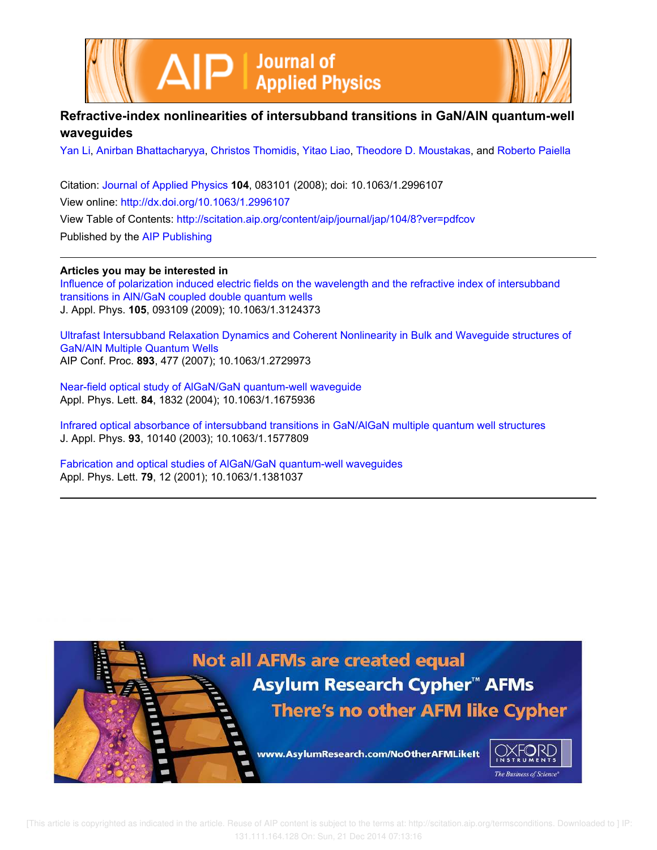



# **Refractive-index nonlinearities of intersubband transitions in GaN/AlN quantum-well waveguides**

Yan Li, Anirban Bhattacharyya, Christos Thomidis, Yitao Liao, Theodore D. Moustakas, and Roberto Paiella

Citation: Journal of Applied Physics **104**, 083101 (2008); doi: 10.1063/1.2996107 View online: http://dx.doi.org/10.1063/1.2996107 View Table of Contents: http://scitation.aip.org/content/aip/journal/jap/104/8?ver=pdfcov Published by the AIP Publishing

**Articles you may be interested in**

Influence of polarization induced electric fields on the wavelength and the refractive index of intersubband transitions in AlN/GaN coupled double quantum wells J. Appl. Phys. **105**, 093109 (2009); 10.1063/1.3124373

Ultrafast Intersubband Relaxation Dynamics and Coherent Nonlinearity in Bulk and Waveguide structures of GaN/AlN Multiple Quantum Wells AIP Conf. Proc. **893**, 477 (2007); 10.1063/1.2729973

Near-field optical study of AlGaN/GaN quantum-well waveguide Appl. Phys. Lett. **84**, 1832 (2004); 10.1063/1.1675936

Infrared optical absorbance of intersubband transitions in GaN/AlGaN multiple quantum well structures J. Appl. Phys. **93**, 10140 (2003); 10.1063/1.1577809

Fabrication and optical studies of AlGaN/GaN quantum-well waveguides Appl. Phys. Lett. **79**, 12 (2001); 10.1063/1.1381037

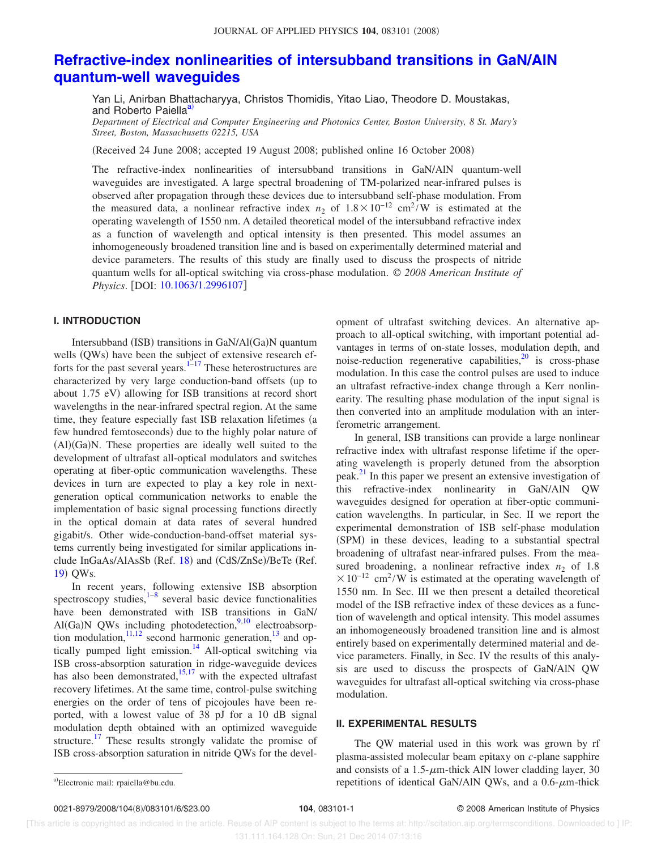## **Refractive-index nonlinearities of intersubband transitions in GaN/AlN quantum-well waveguides**

Yan Li, Anirban Bhattacharyya, Christos Thomidis, Yitao Liao, Theodore D. Moustakas, and Roberto Paiella<sup>a)</sup>

*Department of Electrical and Computer Engineering and Photonics Center, Boston University, 8 St. Mary's Street, Boston, Massachusetts 02215, USA*

Received 24 June 2008; accepted 19 August 2008; published online 16 October 2008-

The refractive-index nonlinearities of intersubband transitions in GaN/AlN quantum-well waveguides are investigated. A large spectral broadening of TM-polarized near-infrared pulses is observed after propagation through these devices due to intersubband self-phase modulation. From the measured data, a nonlinear refractive index  $n_2$  of  $1.8 \times 10^{-12}$  cm<sup>2</sup>/W is estimated at the operating wavelength of 1550 nm. A detailed theoretical model of the intersubband refractive index as a function of wavelength and optical intensity is then presented. This model assumes an inhomogeneously broadened transition line and is based on experimentally determined material and device parameters. The results of this study are finally used to discuss the prospects of nitride quantum wells for all-optical switching via cross-phase modulation. © *2008 American Institute of Physics.* [DOI: 10.1063/1.2996107]

## **I. INTRODUCTION**

Intersubband (ISB) transitions in GaN/Al(Ga)N quantum wells (QWs) have been the subject of extensive research efforts for the past several years. $1<sup>2</sup>$ -17 These heterostructures are characterized by very large conduction-band offsets (up to about 1.75 eV) allowing for ISB transitions at record short wavelengths in the near-infrared spectral region. At the same time, they feature especially fast ISB relaxation lifetimes (a few hundred femtoseconds) due to the highly polar nature of  $(AI)(Ga)N$ . These properties are ideally well suited to the development of ultrafast all-optical modulators and switches operating at fiber-optic communication wavelengths. These devices in turn are expected to play a key role in nextgeneration optical communication networks to enable the implementation of basic signal processing functions directly in the optical domain at data rates of several hundred gigabit/s. Other wide-conduction-band-offset material systems currently being investigated for similar applications include InGaAs/AlAsSb (Ref. 18) and (CdS/ZnSe)/BeTe (Ref. 19) QWs.

In recent years, following extensive ISB absorption spectroscopy studies, $1-8$  several basic device functionalities have been demonstrated with ISB transitions in GaN/ Al(Ga)N QWs including photodetection,  $9,10$  electroabsorption modulation, $11,12$  second harmonic generation, $13$  and optically pumped light emission.<sup>14</sup> All-optical switching via ISB cross-absorption saturation in ridge-waveguide devices has also been demonstrated,  $15,17$  with the expected ultrafast recovery lifetimes. At the same time, control-pulse switching energies on the order of tens of picojoules have been reported, with a lowest value of 38 pJ for a 10 dB signal modulation depth obtained with an optimized waveguide structure.<sup>17</sup> These results strongly validate the promise of ISB cross-absorption saturation in nitride QWs for the development of ultrafast switching devices. An alternative approach to all-optical switching, with important potential advantages in terms of on-state losses, modulation depth, and noise-reduction regenerative capabilities, $^{20}$  is cross-phase modulation. In this case the control pulses are used to induce an ultrafast refractive-index change through a Kerr nonlinearity. The resulting phase modulation of the input signal is then converted into an amplitude modulation with an interferometric arrangement.

In general, ISB transitions can provide a large nonlinear refractive index with ultrafast response lifetime if the operating wavelength is properly detuned from the absorption peak.<sup>21</sup> In this paper we present an extensive investigation of this refractive-index nonlinearity in GaN/AlN QW waveguides designed for operation at fiber-optic communication wavelengths. In particular, in Sec. II we report the experimental demonstration of ISB self-phase modulation (SPM) in these devices, leading to a substantial spectral broadening of ultrafast near-infrared pulses. From the measured broadening, a nonlinear refractive index  $n_2$  of 1.8  $\times 10^{-12}$  cm<sup>2</sup>/W is estimated at the operating wavelength of 1550 nm. In Sec. III we then present a detailed theoretical model of the ISB refractive index of these devices as a function of wavelength and optical intensity. This model assumes an inhomogeneously broadened transition line and is almost entirely based on experimentally determined material and device parameters. Finally, in Sec. IV the results of this analysis are used to discuss the prospects of GaN/AlN QW waveguides for ultrafast all-optical switching via cross-phase modulation.

## **II. EXPERIMENTAL RESULTS**

The QW material used in this work was grown by rf plasma-assisted molecular beam epitaxy on *c*-plane sapphire and consists of a 1.5- $\mu$ m-thick AlN lower cladding layer, 30 a) Electronic mail: rpaiella@bu.edu. The set of the set of the repetitions of identical GaN/AlN QWs, and a 0.6- $\mu$ m-thick and  $\mu$ 

Electronic mail: rpaiella@bu.edu.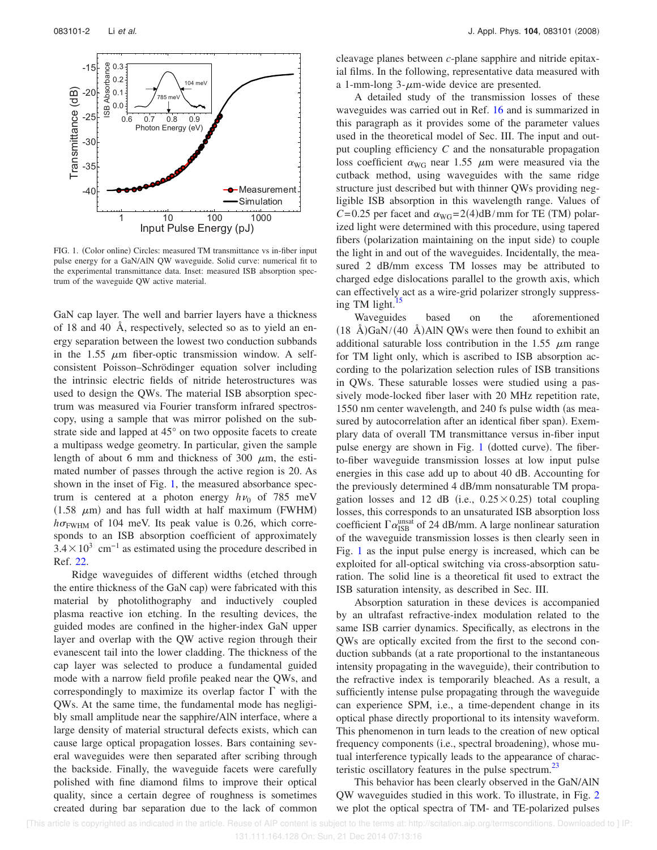

FIG. 1. (Color online) Circles: measured TM transmittance vs in-fiber input pulse energy for a GaN/AlN QW waveguide. Solid curve: numerical fit to the experimental transmittance data. Inset: measured ISB absorption spectrum of the waveguide QW active material.

GaN cap layer. The well and barrier layers have a thickness of 18 and 40 Å, respectively, selected so as to yield an energy separation between the lowest two conduction subbands in the 1.55  $\mu$ m fiber-optic transmission window. A selfconsistent Poisson–Schrödinger equation solver including the intrinsic electric fields of nitride heterostructures was used to design the QWs. The material ISB absorption spectrum was measured via Fourier transform infrared spectroscopy, using a sample that was mirror polished on the substrate side and lapped at 45° on two opposite facets to create a multipass wedge geometry. In particular, given the sample length of about 6 mm and thickness of 300  $\mu$ m, the estimated number of passes through the active region is 20. As shown in the inset of Fig. 1, the measured absorbance spectrum is centered at a photon energy  $h\nu_0$  of 785 meV  $(1.58 \mu m)$  and has full width at half maximum (FWHM)  $h\sigma_{\text{FWHM}}$  of 104 meV. Its peak value is 0.26, which corresponds to an ISB absorption coefficient of approximately  $3.4 \times 10^3$  cm<sup>-1</sup> as estimated using the procedure described in Ref. 22.

Ridge waveguides of different widths (etched through the entire thickness of the GaN cap) were fabricated with this material by photolithography and inductively coupled plasma reactive ion etching. In the resulting devices, the guided modes are confined in the higher-index GaN upper layer and overlap with the QW active region through their evanescent tail into the lower cladding. The thickness of the cap layer was selected to produce a fundamental guided mode with a narrow field profile peaked near the QWs, and correspondingly to maximize its overlap factor  $\Gamma$  with the QWs. At the same time, the fundamental mode has negligibly small amplitude near the sapphire/AlN interface, where a large density of material structural defects exists, which can cause large optical propagation losses. Bars containing several waveguides were then separated after scribing through the backside. Finally, the waveguide facets were carefully polished with fine diamond films to improve their optical quality, since a certain degree of roughness is sometimes created during bar separation due to the lack of common

cleavage planes between *c*-plane sapphire and nitride epitaxial films. In the following, representative data measured with a 1-mm-long  $3$ - $\mu$ m-wide device are presented.

A detailed study of the transmission losses of these waveguides was carried out in Ref. 16 and is summarized in this paragraph as it provides some of the parameter values used in the theoretical model of Sec. III. The input and output coupling efficiency *C* and the nonsaturable propagation loss coefficient  $\alpha_{\text{WG}}$  near 1.55  $\mu$ m were measured via the cutback method, using waveguides with the same ridge structure just described but with thinner QWs providing negligible ISB absorption in this wavelength range. Values of  $C = 0.25$  per facet and  $\alpha_{\text{WG}} = 2(4) \text{dB/mm}$  for TE (TM) polarized light were determined with this procedure, using tapered fibers (polarization maintaining on the input side) to couple the light in and out of the waveguides. Incidentally, the measured 2 dB/mm excess TM losses may be attributed to charged edge dislocations parallel to the growth axis, which can effectively act as a wire-grid polarizer strongly suppressing TM light. $15$ 

Waveguides based on the aforementioned  $(18 \text{ Å})\text{GaN}/(40 \text{ Å})\text{AlN}$  QWs were then found to exhibit an additional saturable loss contribution in the 1.55  $\mu$ m range for TM light only, which is ascribed to ISB absorption according to the polarization selection rules of ISB transitions in QWs. These saturable losses were studied using a passively mode-locked fiber laser with 20 MHz repetition rate, 1550 nm center wavelength, and 240 fs pulse width (as measured by autocorrelation after an identical fiber span). Exemplary data of overall TM transmittance versus in-fiber input pulse energy are shown in Fig. 1 (dotted curve). The fiberto-fiber waveguide transmission losses at low input pulse energies in this case add up to about 40 dB. Accounting for the previously determined 4 dB/mm nonsaturable TM propagation losses and 12 dB (i.e.,  $0.25 \times 0.25$ ) total coupling losses, this corresponds to an unsaturated ISB absorption loss coefficient  $\Gamma \alpha_{\mathrm{ISB}}^{\mathrm{unsat}}$  of 24 dB/mm. A large nonlinear saturation of the waveguide transmission losses is then clearly seen in Fig. 1 as the input pulse energy is increased, which can be exploited for all-optical switching via cross-absorption saturation. The solid line is a theoretical fit used to extract the ISB saturation intensity, as described in Sec. III.

Absorption saturation in these devices is accompanied by an ultrafast refractive-index modulation related to the same ISB carrier dynamics. Specifically, as electrons in the QWs are optically excited from the first to the second conduction subbands (at a rate proportional to the instantaneous intensity propagating in the waveguide), their contribution to the refractive index is temporarily bleached. As a result, a sufficiently intense pulse propagating through the waveguide can experience SPM, i.e., a time-dependent change in its optical phase directly proportional to its intensity waveform. This phenomenon in turn leads to the creation of new optical frequency components (i.e., spectral broadening), whose mutual interference typically leads to the appearance of characteristic oscillatory features in the pulse spectrum.<sup>23</sup>

This behavior has been clearly observed in the GaN/AlN QW waveguides studied in this work. To illustrate, in Fig. 2 we plot the optical spectra of TM- and TE-polarized pulses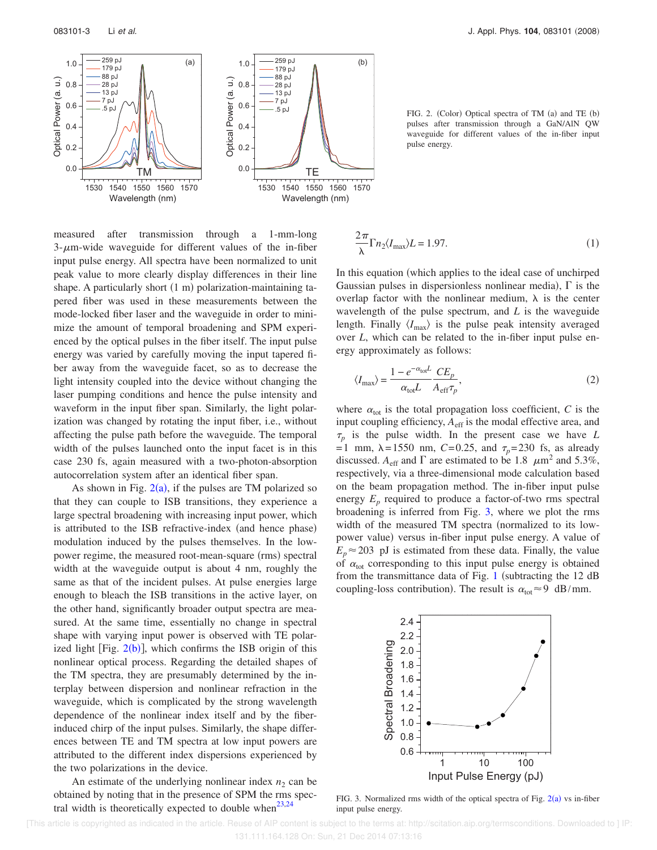

FIG. 2. (Color) Optical spectra of TM (a) and TE (b) pulses after transmission through a GaN/AlN QW waveguide for different values of the in-fiber input pulse energy.

measured after transmission through a 1-mm-long  $3-\mu$ m-wide waveguide for different values of the in-fiber input pulse energy. All spectra have been normalized to unit peak value to more clearly display differences in their line shape. A particularly short (1 m) polarization-maintaining tapered fiber was used in these measurements between the mode-locked fiber laser and the waveguide in order to minimize the amount of temporal broadening and SPM experienced by the optical pulses in the fiber itself. The input pulse energy was varied by carefully moving the input tapered fiber away from the waveguide facet, so as to decrease the light intensity coupled into the device without changing the laser pumping conditions and hence the pulse intensity and waveform in the input fiber span. Similarly, the light polarization was changed by rotating the input fiber, i.e., without affecting the pulse path before the waveguide. The temporal width of the pulses launched onto the input facet is in this case 230 fs, again measured with a two-photon-absorption autocorrelation system after an identical fiber span.

As shown in Fig.  $2(a)$ , if the pulses are TM polarized so that they can couple to ISB transitions, they experience a large spectral broadening with increasing input power, which is attributed to the ISB refractive-index (and hence phase) modulation induced by the pulses themselves. In the lowpower regime, the measured root-mean-square (rms) spectral width at the waveguide output is about 4 nm, roughly the same as that of the incident pulses. At pulse energies large enough to bleach the ISB transitions in the active layer, on the other hand, significantly broader output spectra are measured. At the same time, essentially no change in spectral shape with varying input power is observed with TE polarized light [Fig.  $2(b)$ ], which confirms the ISB origin of this nonlinear optical process. Regarding the detailed shapes of the TM spectra, they are presumably determined by the interplay between dispersion and nonlinear refraction in the waveguide, which is complicated by the strong wavelength dependence of the nonlinear index itself and by the fiberinduced chirp of the input pulses. Similarly, the shape differences between TE and TM spectra at low input powers are attributed to the different index dispersions experienced by the two polarizations in the device.

An estimate of the underlying nonlinear index  $n_2$  can be obtained by noting that in the presence of SPM the rms spectral width is theoretically expected to double when<sup>23,24</sup>

$$
\frac{2\pi}{\lambda} \Gamma n_2 \langle I_{\text{max}} \rangle L = 1.97. \tag{1}
$$

In this equation (which applies to the ideal case of unchirped Gaussian pulses in dispersionless nonlinear media),  $\Gamma$  is the overlap factor with the nonlinear medium,  $\lambda$  is the center wavelength of the pulse spectrum, and *L* is the waveguide length. Finally  $\langle I_{\text{max}} \rangle$  is the pulse peak intensity averaged over *L*, which can be related to the in-fiber input pulse energy approximately as follows:

$$
\langle I_{\text{max}} \rangle = \frac{1 - e^{-\alpha_{\text{tot}}L}}{\alpha_{\text{tot}}L} \frac{CE_p}{A_{\text{eff}}\tau_p},\tag{2}
$$

where  $\alpha_{\text{tot}}$  is the total propagation loss coefficient, *C* is the input coupling efficiency,  $A_{\text{eff}}$  is the modal effective area, and  $\tau_p$  is the pulse width. In the present case we have *L* = 1 mm,  $\lambda = 1550$  nm, *C*=0.25, and  $\tau_p = 230$  fs, as already discussed.  $A_{\text{eff}}$  and  $\Gamma$  are estimated to be 1.8  $\mu$ m<sup>2</sup> and 5.3%, respectively, via a three-dimensional mode calculation based on the beam propagation method. The in-fiber input pulse energy  $E_p$  required to produce a factor-of-two rms spectral broadening is inferred from Fig. 3, where we plot the rms width of the measured TM spectra (normalized to its lowpower value) versus in-fiber input pulse energy. A value of  $E_p \approx 203$  pJ is estimated from these data. Finally, the value of  $\alpha_{\text{tot}}$  corresponding to this input pulse energy is obtained from the transmittance data of Fig. 1 (subtracting the  $12$  dB coupling-loss contribution). The result is  $\alpha_{\text{tot}} \approx 9 \text{ dB/mm}$ .



FIG. 3. Normalized rms width of the optical spectra of Fig.  $2(a)$  vs in-fiber input pulse energy.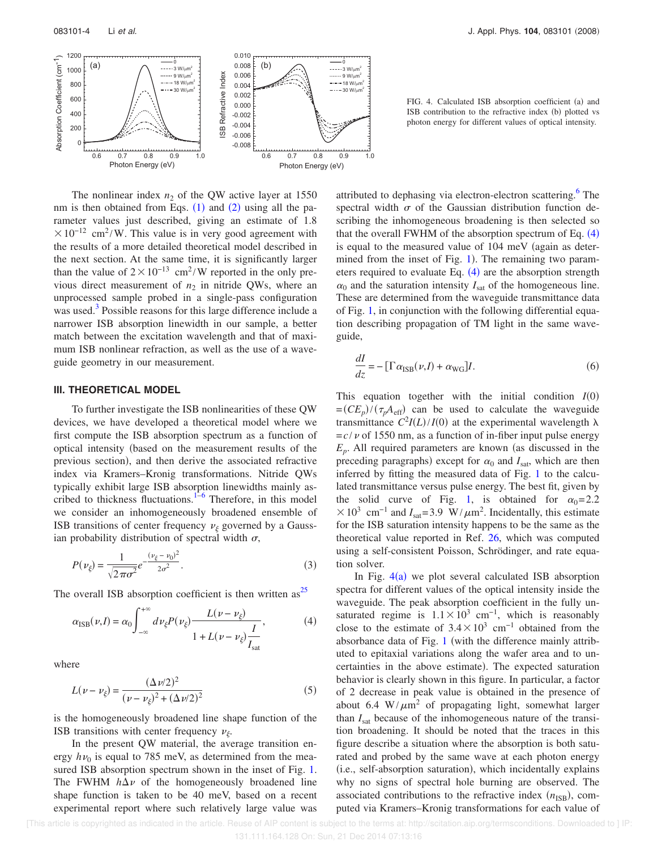

The nonlinear index  $n_2$  of the QW active layer at 1550 nm is then obtained from Eqs.  $(1)$  and  $(2)$  using all the parameter values just described, giving an estimate of 1.8  $\times 10^{-12}$  cm<sup>2</sup>/W. This value is in very good agreement with the results of a more detailed theoretical model described in the next section. At the same time, it is significantly larger than the value of  $2 \times 10^{-13}$  cm<sup>2</sup>/W reported in the only previous direct measurement of  $n_2$  in nitride QWs, where an unprocessed sample probed in a single-pass configuration was used.<sup>3</sup> Possible reasons for this large difference include a narrower ISB absorption linewidth in our sample, a better match between the excitation wavelength and that of maximum ISB nonlinear refraction, as well as the use of a waveguide geometry in our measurement.

### **III. THEORETICAL MODEL**

To further investigate the ISB nonlinearities of these QW devices, we have developed a theoretical model where we first compute the ISB absorption spectrum as a function of optical intensity based on the measurement results of the previous section), and then derive the associated refractive index via Kramers–Kronig transformations. Nitride QWs typically exhibit large ISB absorption linewidths mainly ascribed to thickness fluctuations.<sup>1-6</sup> Therefore, in this model we consider an inhomogeneously broadened ensemble of ISB transitions of center frequency  $\nu_{\xi}$  governed by a Gaussian probability distribution of spectral width  $\sigma$ ,

$$
P(\nu_{\xi}) = \frac{1}{\sqrt{2\pi\sigma^2}} e^{-\frac{(\nu_{\xi} - \nu_0)^2}{2\sigma^2}}.
$$
 (3)

The overall ISB absorption coefficient is then written as<sup>25</sup>

$$
\alpha_{\text{ISB}}(\nu, I) = \alpha_0 \int_{-\infty}^{+\infty} d\nu_{\xi} P(\nu_{\xi}) \frac{L(\nu - \nu_{\xi})}{1 + L(\nu - \nu_{\xi}) \frac{I}{I_{\text{sat}}}},
$$
(4)

where

$$
L(\nu - \nu_{\xi}) = \frac{(\Delta \nu/2)^2}{(\nu - \nu_{\xi})^2 + (\Delta \nu/2)^2}
$$
 (5)

is the homogeneously broadened line shape function of the ISB transitions with center frequency  $\nu_{\xi}$ .

In the present QW material, the average transition energy  $h\nu_0$  is equal to 785 meV, as determined from the measured ISB absorption spectrum shown in the inset of Fig. 1. The FWHM  $h\Delta v$  of the homogeneously broadened line shape function is taken to be 40 meV, based on a recent experimental report where such relatively large value was

FIG. 4. Calculated ISB absorption coefficient (a) and ISB contribution to the refractive index (b) plotted vs photon energy for different values of optical intensity.

attributed to dephasing via electron-electron scattering.<sup>6</sup> The spectral width  $\sigma$  of the Gaussian distribution function describing the inhomogeneous broadening is then selected so that the overall FWHM of the absorption spectrum of Eq.  $(4)$ is equal to the measured value of  $104 \text{ meV}$  (again as determined from the inset of Fig.  $1$ ). The remaining two parameters required to evaluate Eq.  $(4)$  are the absorption strength  $\alpha_0$  and the saturation intensity  $I_{\text{sat}}$  of the homogeneous line. These are determined from the waveguide transmittance data of Fig. 1, in conjunction with the following differential equation describing propagation of TM light in the same waveguide,

$$
\frac{dI}{dz} = -\left[\Gamma \alpha_{\text{ISB}}(\nu, I) + \alpha_{\text{WG}}\right]I.
$$
\n(6)

This equation together with the initial condition  $I(0)$  $=(CE_p)/(\tau_p A_{\text{eff}})$  can be used to calculate the waveguide transmittance  $C^2I(L)/I(0)$  at the experimental wavelength  $\lambda$  $=c/v$  of 1550 nm, as a function of in-fiber input pulse energy  $E_p$ . All required parameters are known (as discussed in the preceding paragraphs) except for  $\alpha_0$  and  $I_{\text{sat}}$ , which are then inferred by fitting the measured data of Fig. 1 to the calculated transmittance versus pulse energy. The best fit, given by the solid curve of Fig. 1, is obtained for  $\alpha_0 = 2.2$  $\times$  10<sup>3</sup> cm<sup>-1</sup> and *I*<sub>sat</sub>=3.9 W/ $\mu$ m<sup>2</sup>. Incidentally, this estimate for the ISB saturation intensity happens to be the same as the theoretical value reported in Ref. 26, which was computed using a self-consistent Poisson, Schrödinger, and rate equation solver.

In Fig.  $4(a)$  we plot several calculated ISB absorption spectra for different values of the optical intensity inside the waveguide. The peak absorption coefficient in the fully unsaturated regime is  $1.1 \times 10^3$  cm<sup>-1</sup>, which is reasonably close to the estimate of  $3.4 \times 10^3$  cm<sup>-1</sup> obtained from the absorbance data of Fig.  $1$  (with the difference mainly attributed to epitaxial variations along the wafer area and to uncertainties in the above estimate). The expected saturation behavior is clearly shown in this figure. In particular, a factor of 2 decrease in peak value is obtained in the presence of about 6.4 W/ $\mu$ m<sup>2</sup> of propagating light, somewhat larger than *I*sat because of the inhomogeneous nature of the transition broadening. It should be noted that the traces in this figure describe a situation where the absorption is both saturated and probed by the same wave at each photon energy (i.e., self-absorption saturation), which incidentally explains why no signs of spectral hole burning are observed. The associated contributions to the refractive index  $(n_{ISB})$ , computed via Kramers–Kronig transformations for each value of

 [This article is copyrighted as indicated in the article. Reuse of AIP content is subject to the terms at: http://scitation.aip.org/termsconditions. Downloaded to ] IP: 131.111.164.128 On: Sun, 21 Dec 2014 07:13:16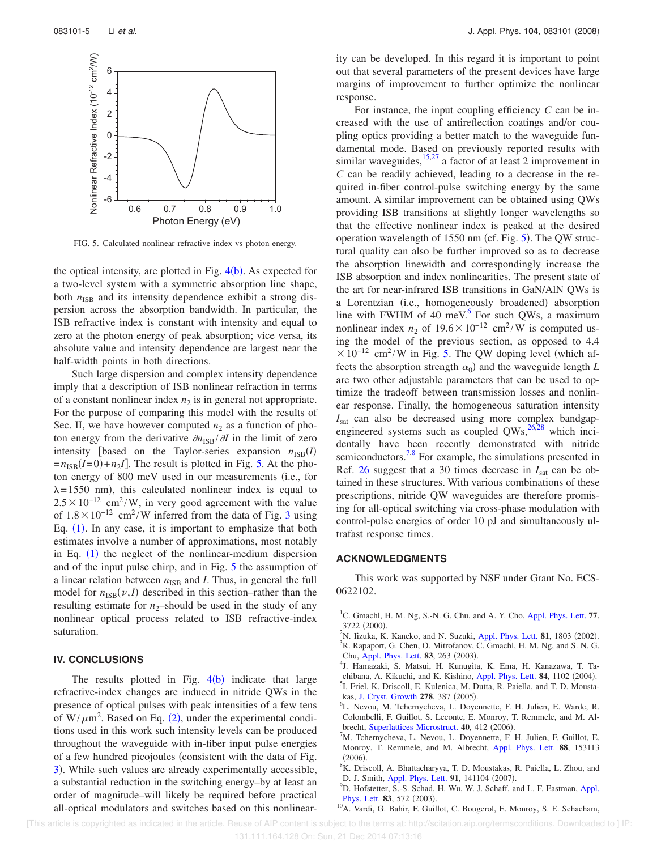

FIG. 5. Calculated nonlinear refractive index vs photon energy.

the optical intensity, are plotted in Fig.  $4(b)$ . As expected for a two-level system with a symmetric absorption line shape, both  $n_{\text{ISR}}$  and its intensity dependence exhibit a strong dispersion across the absorption bandwidth. In particular, the ISB refractive index is constant with intensity and equal to zero at the photon energy of peak absorption; vice versa, its absolute value and intensity dependence are largest near the half-width points in both directions.

Such large dispersion and complex intensity dependence imply that a description of ISB nonlinear refraction in terms of a constant nonlinear index  $n_2$  is in general not appropriate. For the purpose of comparing this model with the results of Sec. II, we have however computed  $n_2$  as a function of photon energy from the derivative  $\partial n_{\text{ISB}}/\partial I$  in the limit of zero intensity [based on the Taylor-series expansion  $n_{\text{ISB}}(I)$  $=n_{\text{ISB}}(I=0) + n_2 I$ . The result is plotted in Fig. 5. At the photon energy of 800 meV used in our measurements (i.e., for  $\lambda = 1550$  nm), this calculated nonlinear index is equal to  $2.5 \times 10^{-12}$  cm<sup>2</sup>/W, in very good agreement with the value of  $1.8 \times 10^{-12}$  cm<sup>2</sup>/W inferred from the data of Fig. 3 using Eq.  $(1)$ . In any case, it is important to emphasize that both estimates involve a number of approximations, most notably in Eq.  $(1)$  the neglect of the nonlinear-medium dispersion and of the input pulse chirp, and in Fig. 5 the assumption of a linear relation between  $n_{\text{ISB}}$  and *I*. Thus, in general the full model for  $n_{\text{ISB}}(\nu, I)$  described in this section–rather than the resulting estimate for  $n_2$ -should be used in the study of any nonlinear optical process related to ISB refractive-index saturation.

### **IV. CONCLUSIONS**

The results plotted in Fig.  $4(b)$  indicate that large refractive-index changes are induced in nitride QWs in the presence of optical pulses with peak intensities of a few tens of  $W/\mu m^2$ . Based on Eq. (2), under the experimental conditions used in this work such intensity levels can be produced throughout the waveguide with in-fiber input pulse energies of a few hundred picojoules (consistent with the data of Fig. 3). While such values are already experimentally accessible, a substantial reduction in the switching energy–by at least an order of magnitude–will likely be required before practical all-optical modulators and switches based on this nonlinearity can be developed. In this regard it is important to point out that several parameters of the present devices have large margins of improvement to further optimize the nonlinear response.

For instance, the input coupling efficiency *C* can be increased with the use of antireflection coatings and/or coupling optics providing a better match to the waveguide fundamental mode. Based on previously reported results with similar waveguides,<sup>15,27</sup> a factor of at least 2 improvement in *C* can be readily achieved, leading to a decrease in the required in-fiber control-pulse switching energy by the same amount. A similar improvement can be obtained using QWs providing ISB transitions at slightly longer wavelengths so that the effective nonlinear index is peaked at the desired operation wavelength of  $1550$  nm (cf. Fig.  $5$ ). The QW structural quality can also be further improved so as to decrease the absorption linewidth and correspondingly increase the ISB absorption and index nonlinearities. The present state of the art for near-infrared ISB transitions in GaN/AlN QWs is a Lorentzian (i.e., homogeneously broadened) absorption line with FWHM of 40 meV. $6$  For such QWs, a maximum nonlinear index  $n_2$  of  $19.6 \times 10^{-12}$  cm<sup>2</sup>/W is computed using the model of the previous section, as opposed to 4.4  $\times 10^{-12}$  cm<sup>2</sup>/W in Fig. 5. The QW doping level (which affects the absorption strength  $\alpha_0$ ) and the waveguide length *L* are two other adjustable parameters that can be used to optimize the tradeoff between transmission losses and nonlinear response. Finally, the homogeneous saturation intensity  $I_{\text{sat}}$  can also be decreased using more complex bandgapengineered systems such as coupled  $QWs$ ,  $^{26,28}$  which incidentally have been recently demonstrated with nitride semiconductors.<sup>7,8</sup> For example, the simulations presented in Ref. 26 suggest that a 30 times decrease in  $I_{\text{sat}}$  can be obtained in these structures. With various combinations of these prescriptions, nitride QW waveguides are therefore promising for all-optical switching via cross-phase modulation with control-pulse energies of order 10 pJ and simultaneously ultrafast response times.

#### **ACKNOWLEDGMENTS**

This work was supported by NSF under Grant No. ECS-0622102.

- <sup>1</sup>C. Gmachl, H. M. Ng, S.-N. G. Chu, and A. Y. Cho, Appl. Phys. Lett. **77**, 3722 (2000).
- $2^2$ N. Iizuka, K. Kaneko, and N. Suzuki, Appl. Phys. Lett. **81**, 1803 (2002). <sup>3</sup>R. Rapaport, G. Chen, O. Mitrofanov, C. Gmachl, H. M. Ng, and S. N. G. Chu, Appl. Phys. Lett. **83**, 263 (2003).
- 4 J. Hamazaki, S. Matsui, H. Kunugita, K. Ema, H. Kanazawa, T. Tachibana, A. Kikuchi, and K. Kishino, Appl. Phys. Lett. 84, 1102 (2004). 5 I. Friel, K. Driscoll, E. Kulenica, M. Dutta, R. Paiella, and T. D. Moustakas, J. Cryst. Growth 278, 387 (2005).
- 6 L. Nevou, M. Tchernycheva, L. Doyennette, F. H. Julien, E. Warde, R. Colombelli, F. Guillot, S. Leconte, E. Monroy, T. Remmele, and M. Albrecht, Superlattices Microstruct. 40, 412 (2006).
- <sup>7</sup>M. Tchernycheva, L. Nevou, L. Doyennette, F. H. Julien, F. Guillot, E. Monroy, T. Remmele, and M. Albrecht, Appl. Phys. Lett. **88**, 153113  $(2006).$
- <sup>8</sup>K. Driscoll, A. Bhattacharyya, T. D. Moustakas, R. Paiella, L. Zhou, and D. J. Smith, Appl. Phys. Lett. 91, 141104 (2007).
- <sup>9</sup>D. Hofstetter, S.-S. Schad, H. Wu, W. J. Schaff, and L. F. Eastman, Appl. Phys. Lett. 83, 572 (2003).
- <sup>10</sup>A. Vardi, G. Bahir, F. Guillot, C. Bougerol, E. Monroy, S. E. Schacham,